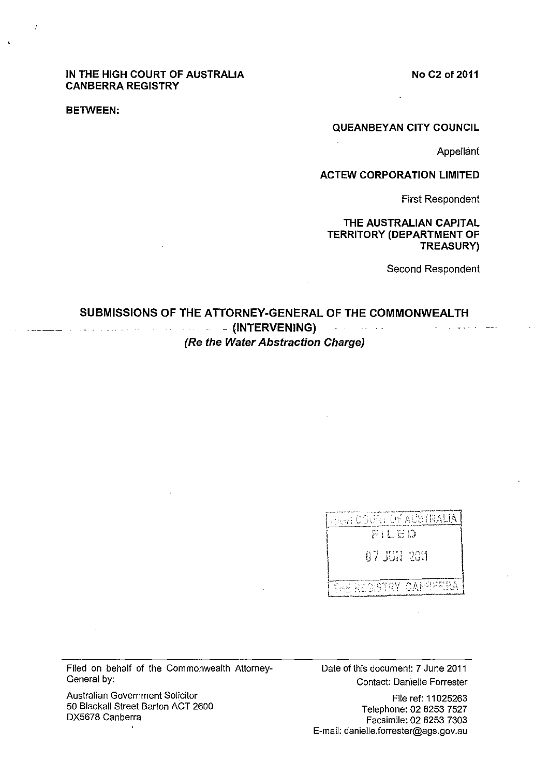## **No C2 of2011**

## **IN THE HIGH COURT OF AUSTRALIA CANBERRA REGISTRY**

#### **BETWEEN:**

 $\mathbf{r}$ 

#### **QUEANBEYAN CITY COUNCIL**

**Appellant** 

 $-$ 

# **ACTEW CORPORATION LIMITED**

First Respondent

# **THE AUSTRALIAN CAPITAL TERRITORY (DEPARTMENT OF TREASURY)**

Second Respondent

#### **SUBMISSIONS OF THE ATTORNEY·GENERAL OF THE COMMONWEALTH**  - **(INTERVENING)**  الأنابية والمتوارث والموالية  $\sim$ **(Re the Water Abstraction Charge)**

| <sub>Civet</sub> court of australia |
|-------------------------------------|
| FILED                               |
| A 7 - ALIA - 2611                   |
| THE REGISTRY CANBERRA               |

Filed on behalf of the Commonwealth Attorney-General by:

Australian Government Solicitor 50 Blackall Street Barton ACT 2600 DX5678 Canberra

 $\mathbf{r}$ 

Date of this document: 7 June 2011 Contact: Danielle Forrester

File ref: 11025263 Telephone: 02 6253 7527 Facsimile: 02 6253 7303 E-mail: danielle.forrester@ags.gov.au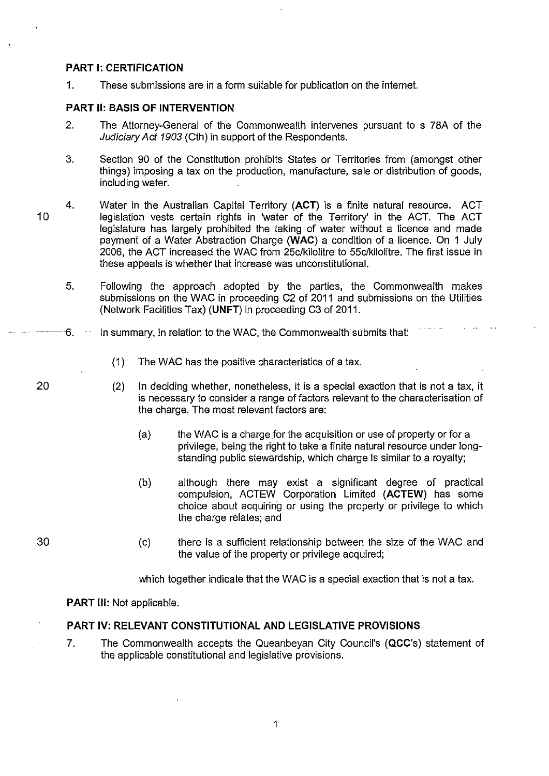# PART I: CERTIFICATION

1. These submissions are in a form suitable for publication on the internel.

# PART II: BASIS OF INTERVENTION

- 2. The Attorney-General of the Commonwealth intervenes pursuant to s 78A of the Judiciary Act 1903 (Cth) in support of the Respondents.
- 3. Section 90 of the Constitution prohibits States or Territories from (amongst other things) imposing a tax on the production, manufacture, sale or distribution of goods, including water.
- 4. Water in the Australian Capital Territory (ACT) is a finite natural resource. ACT legislation vests certain rights in 'water of the Territory' in the ACT. The ACT legislature has largely prohibited the taking of water without a licence and made payment of a Water Abstraction Charge (WAC) a condition of a licence. On 1 July 2006, the ACT increased the WAC from 25c/kilolitre to 55c/kil0litre. The first issue in these appeals is whether that increase was unconstitutional.
	- 5. Following the approach adopted by the parties, the Commonwealth makes submissions on the WAC in proceeding C2 of 2011 and submissions on the Utilities (Network Facilities Tax) (UNFT) in proceeding C3 of 2011.
	- $-6.$  In summary, in relation to the WAC, the Commonwealth submits that:
		- (1) The WAC has the positive characteristics of a tax.
		- (2) In deciding whether, nonetheless, it is a special exaction that is not a tax, it is necessary to consider a range of factors relevant to the characterisation of the charge. The most relevant factors are:
			- (a) the WAC is a charge.for the acquisition or use of property or for a privilege, being the right to take a finite natural resource under longstanding public stewardship, which charge Is similar to a royalty;
			- (b) although there may exist a significant degree of practical compulsion, ACTEW Corporation Limited (ACTEW) has some choice about acquiring or using the property or privilege to which the charge relates; and
			- (c) there is a sufficient relationship between the size of the WAC and the value of the property or privilege acquired;

which together indicate that the WAC is a special exaction that is not a tax.

PART Ill: Not applicable.

# PART IV: RELEVANT CONSTITUTIONAL AND LEGISLATIVE PROVISIONS

7. The Commonwealth accepts the Queanbeyan City Council's (QCC's) statement of the applicable constitutional and legislative provisions.

10

20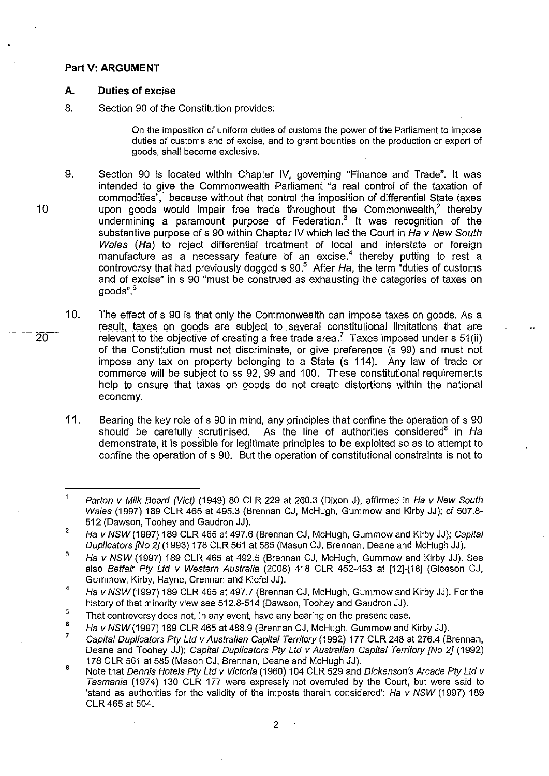#### **Part V: ARGUMENT**

#### **A. Duties of excise**

8. Section 90 of the Constitution provides:

On the imposition of uniform duties of customs the power of the Parliament to impose duties of customs and of excise, and to grant bounties on the production or export of goods, shall become exclusive.

- 9. Section 90 is located within Chapter IV, goveming "Finance and Trade". It was intended to give the Commonwealth Parliament "a real control of the taxation of commodities",1 because without that control the imposition **of** differential State taxes upon goods would impair free trade throughout the Commonwealth, $<sup>2</sup>$  thereby</sup> undermining a paramount purpose of Federation. $3$  It was recognition of the substantive purpose **of** s 90 within Chapter IV which led the Court in Ha v New South Wales (Ha) to reject differential treatment of local and interstate or foreign manufacture as a necessary feature of an excise,<sup>4</sup> thereby putting to rest a controversy that had previously dogged s  $90<sup>5</sup>$  After Ha, the term "duties of customs" and of excise" in s 90 "must be construed as exhausting the categories of taxes on goods".6
- 10. The effect of s 90 is that only the Commonwealth can impose taxes on goods. As a result, taxes on goods are subject to several constitutional limitations that are relevant to the objective of creating a free trade area.<sup>7</sup> Taxes imposed under s  $51$ (ii) of the Constitution must not discriminate, or give preference (s 99) and must not impose any tax on property belonging to a State (s 114). Any law of trade or commerce will be subject to ss 92, 99 and 100. These constitutional requirements help to ensure that taxes on goods do not create distortions within the national economy.
- 11. Bearing the key role of s 90 in mind, any principles that confine the operation of s 90 should be carefully scrutinised. As the line of authorities considered<sup>8</sup> in Ha demonstrate, it is possible for legitimate principles to be exploited so as to attempt to confine the operation of s 90. But the operation of constitutional constraints is not to

 $\overline{20}$ 

 $\overline{1}$ Parton v Milk Board (Vict) (1949) 80 CLR 229 at 260.3 (Dixon J), affirmed in Ha v New South Wales (1997) 189 CLR 465 at 495.3 (Brennan CJ, McHugh, Gummow and Kirby JJ); *et* 507.8- 512 (Dawson, Toohey and Gaudron JJ).

 $\overline{2}$ Ha v NSW (1997) 189 CLR 465 at 497.6 (Brennan CJ, McHugh, Gummow and Kirby JJ); Capital Duplicators [No 2J (1993) 178 CLR 561 at 585 (Mason CJ, Brennan, Deane and McHugh JJ).

<sup>3</sup>  Ha v NSW (1997) 189 CLR 465 at 492.5 (Brennan CJ, McHugh, Gummow and Kirby JJ). See also Betfair Pty Ltd v Western Australia (2008) 418 CLR 452-453 at [12]-[18] (Gleeson CJ, . Gummow, Kirby, Hayne, Crennan and Kiefel JJ).

<sup>4</sup>  Ha v NSW (1997) 189 CLR 465 at 497.7 (Brennan CJ, McHugh, Gummow and Kirby JJ). For the history of that minority view see 512.8-514 (Dawson, Toohey and Gaudron JJ).

<sup>5</sup>  That controversy does not, in any event, have any bearing on the present case.

<sup>6</sup>  Ha v NSW(1997) 189 CLR 465 at 488.9 (Brennan CJ, McHugh, Gummow and Kirby JJ).

<sup>7</sup>  Capital Duplicators Pty Lld v Australian Capital Territory (1992) 177 CLR 248 at 276.4 (Brennan, Deane and Toohey JJ); Capital Duplicators Pty Ltd v Australian Capital Territory (No 2] (1992) 178 CLR 561 at 585 (Mason CJ, Brennan, Deane and McHugh JJ).

<sup>8</sup>  Note that Dennis Hotels Pty Ltd v Victoria (1960) 104 CLR 529 and Dickenson's Arcade Pty Ltd v Tasmania (1974) 130 CLR 177 were expressly not overruled by the Court, but were said to 'stand as authorities for the validity of the imposts therein considered'; Ha v NSW (1997) 189 CLR 465 at 504.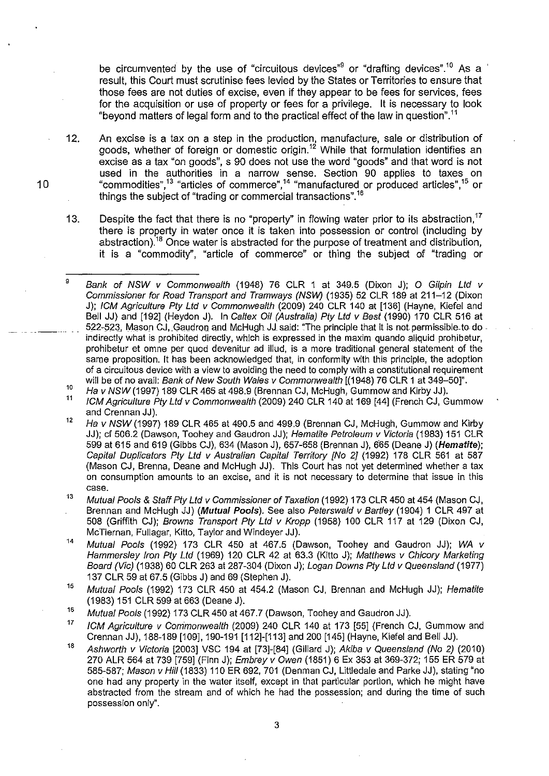be circumvented by the use of "circuitous devices" $9$  or "drafting devices".<sup>10</sup> As a result, this Court must scrutinise fees levied by the States or Territories to ensure that those fees are not duties of excise, even if they appear to be fees for services, fees for the acquisition or use of property or fees for a privilege. It is necessary to look "beyond matters of legal form and to the practical effect of the law in question".'1

- 12. An excise is a tax on a step in the production, manufacture, sale or distribution of goods, whether of foreign or domestic origin.<sup>12</sup> While that formulation identifies an excise as a tax "on goods", s 90 does not use the word "goods" and that word is not used in the authorities in a narrow sense. Section 90 applies to taxes on "commodities",'3 "articles of commerce"," "manufactured or produced articles",'5 or things the subject of "trading or commercial transactions".'6
- 13. Despite the fact that there is no "property" in flowing water prior to its abstraction,<sup>17</sup> there is property in water once it is taken into possession or control (including by abstraction).'8 Once water is abstracted for the purpose of treatment and distribution, it is a "commodity", "article of commerce" or thing the subject of "trading or

- 11 ICM Agriculture Pty Ltd v Commonwealth (2009) 240 CLR 140 at 169 [44] (French CJ, Gummow and Crennan JJ).
- 12 Ha v NSW (1997) 189 CLR 465 at 490.5 and 499.9 (Brennan CJ, McHugh, Gummow and Kirby JJ); cf 506.2 (Dawson, Toohey and Gaudron JJ); Hematite Petroleum v Victoria (1983) 151 CLR 599 at 615 and 619 (Gibbs CJ), 634 (Mason J), 657-658 (Brennan J), 665 (Deane J) (Hematite); Capital Duplicators Pty Ltd v Australian Capital Territory [No 2] (1992) 178 CLR 561 at 587 (Mason CJ, Brenna, Deane and McHugh JJ). This Court has not yet determined whether a tax on consumption amounts to an excise, and it is not necessary to determine that issue in this case.
- 13 Mutual Pools & Staff Pty Lld v Commissioner of Taxation (1992) 173 CLR 450 at 454 (Mason CJ, Brennan and McHugh JJ) (*Mutual Pools*). See also Peterswald v Bartley (1904) 1 CLR 497 at 508 (Griffith CJ); Browns Transport Pty Ltd v Kropp (1958) 100 CLR 117 at 129 (Dixon CJ, McTiernan, Fullagar, Kitto, Taylor and Windeyer JJ).
- ,. Mutual Pools (1992) 173 CLR 450 at 467.5 (Dawson, Toohey and Gaudron JJ); WA v Hammersley Iron Pty Ltd (1969) 120 CLR 42 at 63.3 (Kitto J); Matthews v Chicory Marketing Board (Vic) (1938) 60 CLR 263 at 287-304 (Dixon J); Logan Downs Pty Ltd v Queensland (1977) 137 CLR 59 at 67.5 (Gibbs J) and 69 (Stephen J).
- 15 Mutual Pools (1992) 173 CLR 450 at 454.2 (Mason CJ, Brennan and McHugh JJ); Hematite (1983) 151 CLR 599 at 663 (Deane J).
- 16 Mutual Pools (1992) 173 CLR 450 at 467.7 (Dawson, Toohey and Gaudron JJ).
- 17 ICM Agriculture v Commonwealth (2009) 240 CLR 140 at 173 [55] (French CJ, Gummow and Crennan JJ), 188-189 [109],190-191 [112]-[113] and 200 [145] (Hayne, Kiefel and Bell JJ).
- 18 Ashworth v Victoria [2003] VSC 194 at [73]-[84] (Gillard J); Akiba v Queensland (No 2) (2010) 270 ALR 564 at 739 [759] (Finn J); Embrey v Owen (1851) 6 Ex 353 at 369-372; 155 ER 579 at 585-587; Mason v Hill (1833) 110 ER 692, 701 (Denman CJ, Littledale and Parke JJ), stating "no one had any property in the water itself, except in that particular portion, which he might have abstracted from the stream and of which he had the possession; and during the time of such possession only".

 $\overline{9}$ 10 Bank of NSW v Commonwealth (1948) 76 CLR 1 at 349.5 (Dixon J); O Gilpin Ltd v Commissioner for Road Transport and Tramways (NSW) (1935) 52 CLR 189 at 211-12 (Dixon J); ICM Agriculture Pty Lld v Commonwealth (2009) 240 CLR 140 at [136] (Hayne, Kiefel and Bell JJ) and [192] (Heydon J). In Caltex Oil (Australia) Pty Ltd v Best (1990) 170 CLR 516 at 522-523, Mason CJ, Gaudron and McHugh JJ said: "The principle that it is not permissible-to do indirectly what is prohibited directly, which is expressed in the maxim quando aliquid prohibetur, prohibetur et omne per quod devenitur ad iIIud, is a more traditional general statement of the same proposition. It has been acknowledged that, in conformity with this principle, the adoption of a circuitous device with a view to avoiding the need to comply with a constitutional requirement will be of no avail: Bank of New South Wales v Commonwealth [(1948) 76 CLR 1 at 349-50]".

Ha v NSW (1997) 189 CLR 465 at 498.9 (Brennan CJ, McHugh, Gummow and Kirby JJ).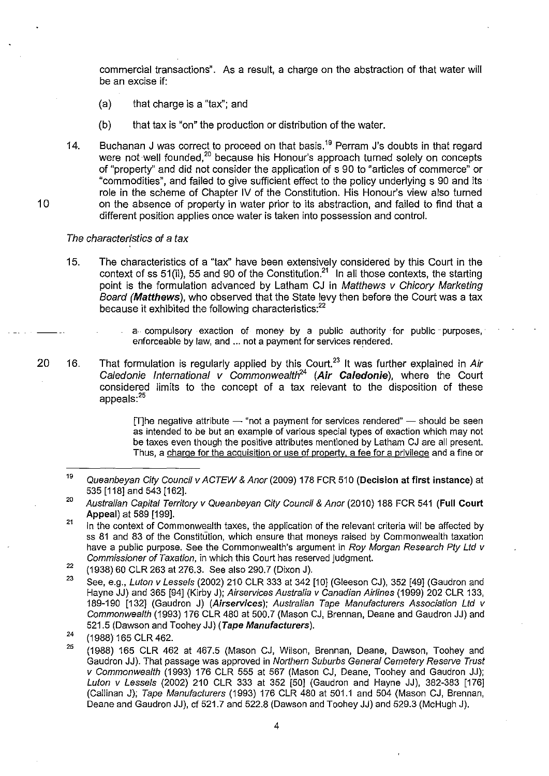commercial transactions". As a result, a charge on the abstraction of that water will be an excise if:

- (a) that charge is a "tax"; and
- (b) that tax is "on" the production or distribution of the water.
- 14. Buchanan J was correct to proceed on that basis.<sup>19</sup> Perram J's doubts in that regard were not well founded,<sup>20</sup> because his Honour's approach turned solely on concepts of "property" and did not consider the application of s 90 to "articles of commerce" or "comrnodities", and failed to give sufficient effect to the policy underlying s 90 and its role in the scheme of Chapter IV of the Constitution. His Honour's view also turned on the absence of property in water prior to its abstraction, and failed to find that a different position applies once water is taken into possession and control.

#### The characteristics of a tax

- 15. The characteristics of a "tax" have been extensively considered by this Court in the context of ss 51 (ii), 55 and 90 of the Constitution?' In all those contexts, the starting point is the formulation advanced by Latham CJ in Matthews v Chicory Marketing Board (Matthews), who observed that the State levy then before the Court was a tax because it exhibited the following characteristics:<sup>22</sup>
	- $a$  compulsory exaction of money by a public authority for public purposes, enforceable by law, and ... not a payment for services rendered.
- 20 16. That formulation is regularly applied by this Court.<sup>23</sup> It was further explained in Air Caledonie International v Commonwealth<sup>24</sup> (Air Caledonie), where the Court considered limits to the concept of a tax relevant to the disposition of these appeals:<sup>25</sup>

 $[T]$ he negative attribute  $-$  "not a payment for services rendered"  $-$  should be seen as intended to be but an example of various special types of exaction which may not be taxes even though the positive attributes mentioned by Latham CJ are all present. Thus, a charge for the acquisition or use of property, a fee for a privilege and a fine or

<sup>19</sup>  Queanbeyan City Council v ACTEW & Anor (2009) 178 FCR 510 (Decision at first instance) at 535 [118] and 543 [162].

<sup>20</sup>  Australian Capital Territory v Queanbeyan City Council & Anor (2010) 188 FCR 541 (Full Court Appeal) at 589 [199].

<sup>21</sup>  In the context of Commonwealth taxes, the application of the relevant criteria will be affected by ss 81 and 83 of the Constitution, which ensure that moneys raised by Commonwealth taxation have a public purpose. See the Commonwealth's argument in Roy Morgan Research Pty Ltd v Commissioner of Taxation, in which this Court has reserved judgment.

<sup>22</sup>  (1938) 60 CLR 263 at 276.3. See also 290.7 (Dixon J).

<sup>23</sup>  See, e.g., Luton v Lessels (2002) 210 CLR 333 at 342 [10] (Gleeson CJ), 352 [49] (Gaudron and Hayne JJ) and 365 [94] (Kirby J); Airservices Australia v Canadian Airlines (1999) 202 CLR 133, 189-190 [132] (Gaudron J) (Airservices); Australian Tape Manufacturers Association Ltd v Commonwealth (1993) 176 CLR 480 at 500.7 (Mason CJ, Brennan, Deane and Gaudron JJ) and 521.5 (Dawson and Toohey JJ) (Tape Manufacturers).

<sup>24</sup>  (1988) 165 CLR 462.

<sup>25</sup>  (1988) 165 CLR 462 at 467.5 (Mason CJ, Wilson, Brennan, Deane, Dawson, Toohey and Gaudron JJ). That passage was approved in Northern Suburbs General Cemetery Reserve Trust v Commonwealth (1993) 176 CLR 555 at 567 (Mason CJ, Deane, Toohey and Gaudron JJ); Luton v Lessels (2002) 210 CLR 333 at 352 [50] (Gaudron and Hayne JJ), 382-383 [176] (Callinan J); Tape Manufacturers (1993) 176 CLR 480 at 501.1 and 504 (Mason CJ, Brennan, Deane and Gaudron JJ), cf 521.7 and 522.8 (Dawson and Toohey JJ) and 529.3 (McHugh J).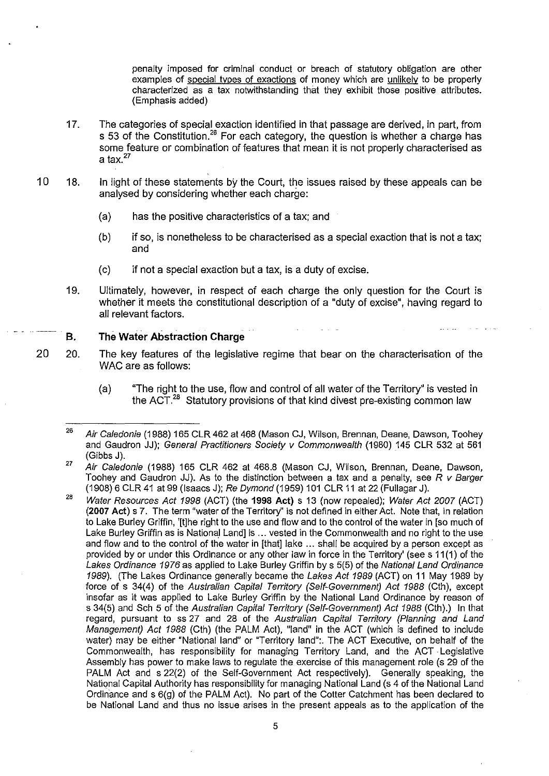penalty imposed for criminal conduct or breach of statutory obligation are other examples of special types of exactions of money which are unlikely to be properly characterized as a tax notwithstanding that they exhibit those positive attributes. (Emphasis added)

- 17. The categories of special exaction identified in that passage are derived, in part, from s 53 of the Constitution.<sup>26</sup> For each category, the question is whether a charge has some feature or combination of features that mean it is not properly characterised as a tax. $27$
- 10 18. In light of these statements by the Court, the issues raised by these appeals can be analysed by considering whether each charge:
	- (a) has the positive characteristics of a tax; and
	- (b) if so, is nonetheless to be characterised as a special exaction that is not a tax; and
	- (c) if not a special exaction but a tax, is a duty of excise.
	- 19. Ultimately, however, in respect of each charge the only question for the Court is whether it meets the constitutional description of a "duty of excise", having regard to all relevant factors.

### . B. The Water Abstraction Charge

- 20 20. The key features of the legislative regime that bear on the characterisation of the WAC are as follows:
	- (a) ''The right to the use, flow and control of all water of the Territory" is vested in the ACT. $^{28}$  Statutory provisions of that kind divest pre-existing common law

<sup>26</sup>  Air Caledonie (1988) 165 CLR 462 at 468 (Mason CJ, Wilson, Brennan, Deane, Dawson, Toohey and Gaudron JJ); General Practitioners Society v Commonwealth (1980) 145 CLR 532 at 561 (Gibbs J).

<sup>27</sup>  Air Caledonie (1988) 165 CLR 462 at 468.8 (Mason CJ, Wilson, Brennan, Deane, Dawson, Toohey and Gaudron JJ). As to the distinction between a tax and a penalty, see R v Barger (1908) 6 CLR 41 at 99 (Isaacs J); Re Dymond (1959) 101 CLR 11 at 22 (Fullagar J).

<sup>28</sup>  Water Resources Act 1998 (ACT) (the 1998 Act) s 13 (now repealed); Water Act 2007 (ACT) (2007 Act) s 7. The term "water of the Territory" is not defined in either Act. Note that, in relation to Lake Burley Griffin, '[t]he right to the use and flow and to the control of the water in [so much of Lake Burley Griffin as is National Land] is ... vested in the Commonwealth and no right to the use and flow and to the control of the water in [that] lake ... shall be acquired by a person except as provided by or under this Ordinance or any other law in force in the Territory' (see s 11 (1) of the Lakes Ordinance 1976 as applied to Lake Burley Griffin by s 5(5) of the National Land Ordinance 1989). (The Lakes Ordinance generally became the Lakes Act 1989 (ACT) on 11 May 1989 by force of s 34(4) of the Australian Capital Territory (Self-Government) Act 1988 (Cth), except insofar as it was applied to Lake Burley Griffin by the National Land Ordinance by reason of s 34(5) and Sch 5 of the Australian Capital Territory (Self-Government) Act 1988 (Cth).) In that regard, pursuant to ss 27 and 28 of the Australian Capital Territory (Planning and Land Management) Act 1988 (Cth) (the PALM Act), "land" in the ACT (which is defined to include water) may be either "National land" or "Territory land":. The ACT Executive, on behalf of the Commonwealth, has responsibility for managing Territory Land, and the ACT· Legislative Assembly has power to make laws to regulate the exercise of this management role (s 29 of the PALM Act and s 22(2) of the Self-Government Act respectively). Generally speaking, the National Capital Authority has responsibility for managing National Land (s 4 of the National Land Ordinance and s 6(g) of the PALM Act). No part of the Cotter Catchment has been declared to be National Land and thus no issue arises in the present appeals as to the application of the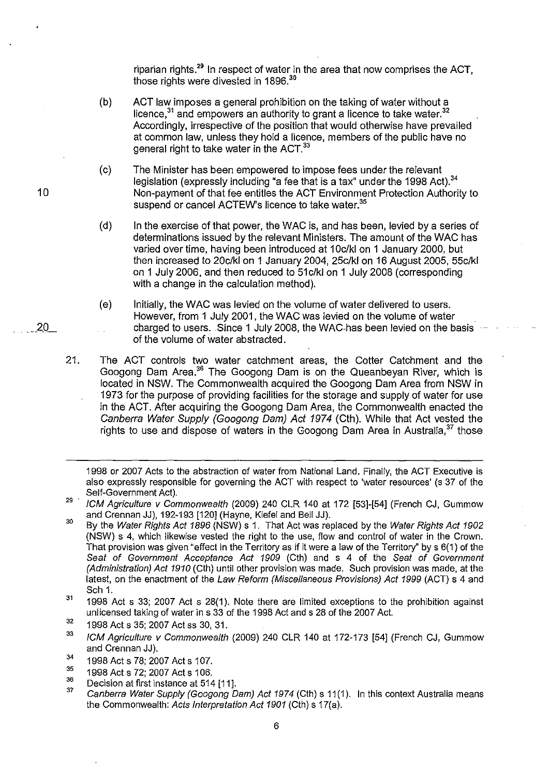riparian rights. $29$  In respect of water in the area that now comprises the ACT. those rights were divested in 1896.<sup>30</sup>

- (b) ACT law imposes a general prohibition on the taking of water without a  $I$  licence,  $31$  and empowers an authority to grant a licence to take water.  $32$ Accordingly, irrespective of the position that would otherwise have prevailed at common law, unless they hold a licence, members of the public have no general right to take water in the ACT.<sup>33</sup>
- (c) The Minister has been empowered to impose fees under the relevant legislation (expressly including "a fee that is a tax" under the 1998 Act).<sup>34</sup> Non-payment of that fee entitles the ACT Environment Protection Authority to suspend or cancel ACTEW's licence to take water.<sup>35</sup>
- (d) In the exercise of that power, the WAC is, and has been, levied by a series of determinations issued by the relevant Ministers. The amount of the WAC has varied over time, having been introduced at 10c/kl on 1 January 2000, but then increased to 20c/kl on 1 January 2004, 25c/kl on 16 August 2005, 55c/kl on 1 July 2006, and then reduced to 51c/kl on 1 July 2008 (corresponding with a change in the calculation method).
- (e) Initially, the WAC was levied on the volume of water delivered to users. However, from 1 July 2001, the WAC was levied on the volume of water charged to users. Since 1 July 2008, the WAC-has been levied on the basis of the volume of water abstracted.
- 21. The ACT controls two water catchment areas, the Cotter Catchment and the Googong Dam Area.36 The Googong Dam is on the Queanbeyan River, which is located in NSW. The Commonwealth acquired the Googong Dam Area from NSW in 1973 for the purpose of providing facilities for the storage and supply of water for use in the ACT. After acquiring the Googong Dam Area, the Commonwealth enacted the Canberra Water Supply (Googong Dam) Act 1974 (Cth). While that Act vested the rights to use and dispose of waters in the Googong Dam Area in Australia, $37$  those

1998 or 2007 Acts to the abstraction of water from National Land. Finally, the ACT Executive is also expressly responsible for governing the ACT with respect to 'water resources' (s 37 of the Self-Government Act).

- 30 By the Water Rights Act 1896 (NSW) s 1. That Act was replaced by the Water Rights Act 1902 (NSW) s 4, which likewise vested the right to the use, flow and control of water in the Crown. That provision was given "effect in the Territory as if it were a law of the Territory" by s 6(1) of the Seat of Government Acceptance Act 1909 (Cth) and s 4 of the Seat of Government (Administration) Act 1910 (Cth) until other provision was made. Such provision was made, at the latest, on the enactment of the Law Reform (Miscellaneous Provisions) Act 1999 (ACT) s 4 and Sch 1.
- 31 1998 Act s 33; 2007 Act s 28(1). Note there are limited exceptions to the prohibition against unlicensed taking of water in s 33 of the 1998 Act and s 28 of the 2007 Act.
- 32 1998 Act s 35; 2007 Act ss 30, 31.
- 33 ICM Agriculture v Commonwealth (2009) 240 CLR 140 at 172-173 [54] (French CJ, Gummow and Crennan JJ).
- 34 1998 Act s 78; 2007 Act s 107.
- 35 1998 Act s 72; 2007 Act s 106.
- 36 Decision at first instance at 514 [11].
- 37 Canberra Water Supply (Googong Dam) Act 1974 (Cth) s 11(1). In this context Australia means the Commonwealth: Acts Interpretation Act 1901 (Cth) s 17(a).

<sup>29 .</sup>  ICM Agriculture v Commonwealth (2009) 240 CLR 140 at 172 [53]-[54] (French CJ, Gummow and Crennan JJ), 192-193 [120] (Hayne, Kiefel and Bell JJ).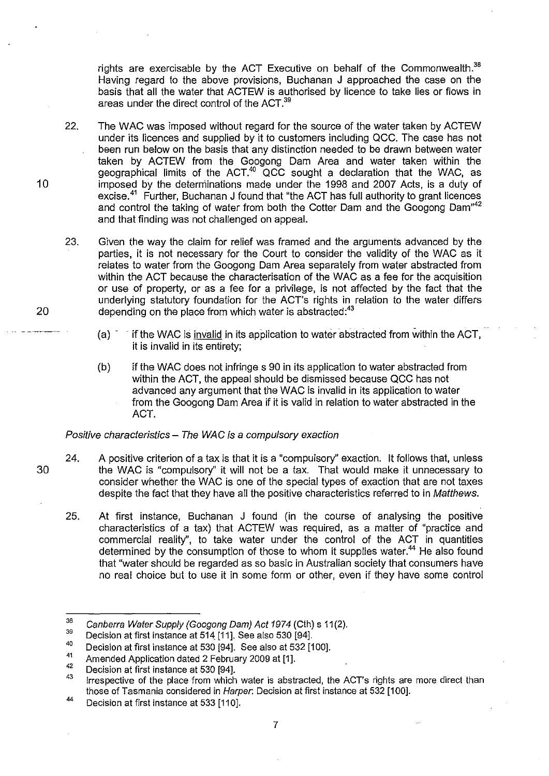rights are exercisable by the ACT Executive on behalf of the Commonwealth. $38$ Having regard to the above provisions. Buchanan J approached the case on the basis that all the water that ACTEW is authorised by licence to take lies or flows in areas under the direct control of the ACT.<sup>39</sup>

- 22. The WAC was imposed without regard for the source of the water taken by ACTEW under its licences and supplied by it to customers including acc. The case has not been run below on the basis that any distinction needed to be drawn between water taken by ACTEW from the Googong Dam Area and water taken within the geographical limits of the  $ACT.^{40}$  QCC sought a declaration that the WAC, as imposed by the deterniinations made under the 1998 and 2007 Acts, is a duty of excise.<sup>41</sup> Further, Buchanan J found that "the ACT has full authority to grant licences and control the taking of water from both the Cotter Dam and the Googong Dam<sup>"42</sup> and that finding was not challenged on appeal.
- 23. Given the way the claim for relief was framed and the arguments advanced by the parties, it is not necessary for the Court to consider the validity of the WAC as it relates to water from the Googong Dam Area separately from water abstracted from within the ACT because the characterisation of the WAC as a fee for the acquisition or use of property, or as a fee for a privilege, is not affected by the fact that the underlying statutory foundation for the ACT's rights in relation to the water differs depending on the place from which water is abstracted:<sup>43</sup>
	- $(a)$  if the WAC is invalid in its application to water abstracted from within the ACT, it is invalid in its entirety;
	- (b) if the WAC does not infringe s 90 in its application to water abstracted from within the ACT, the appeal should be dismissed because QCC has not advanced any argument that the WAC is invalid in its application to water from the Googong Dam Area if it is valid in relation to water abstracted in the ACT.

Positive characteristics - The WAC is a compulsory exaction

- 24. A positive criterion of a tax is that it is a "compulsory" exaction. It follows that, unless the WAC is "compulsory" it will not be a tax. That would make it unnecessary to consider whether the WAC is one of the special types of exaction that are not taxes despite the fact that they have all the positive characteristics referred to in Matthews.
	- 25. At first instance, Buchanan J found (in the course of analysing the positive characteristics of a tax) that ACTEW was required, as a matter of "practice and commercial reality", to take water under the control of the ACT in quantities determined by the consumption of those to whom it supplies water.<sup>44</sup> He also found that "water should be regarded as so basic in Australian society that consumers have no real choice but to use it in some form or other, even if they have some control

10

20

30

<sup>38</sup>  Canberra Water Supply (Googong Dam) Act 1974 (Cth) s 11(2).

<sup>39</sup>  Decision at first instance at 514 [11]. See also 530 [94].

<sup>40</sup>  Decision at first instance at 530 [94]. See also at 532 [100].

<sup>41</sup>  Amended Application dated 2 February 2009 at [1].

<sup>42</sup>  Decision at first instance at 530 [94].

<sup>43</sup>  Irrespective of the place from which water is abstracted, the ACT's rights are more direct than those of Tasmania considered in Harper: Decision at first instance at 532 [100].

<sup>44</sup>  Decision at first instance at 533 [110].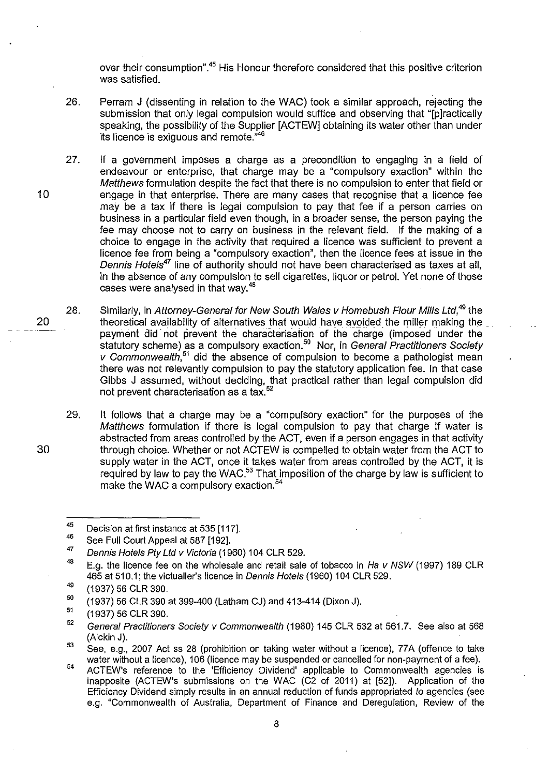over their consumption".<sup>45</sup> His Honour therefore considered that this positive criterion was satisfied.

- 26. Perram J (dissenting in relation to the WAC) took a similar approach, rejecting the submission that only legal compulsion would suffice and observing that "[p]ractically speaking, the possibility of the Supplier [ACTEWJ obtaining its water other than under its licence is exiguous and remote."<sup>46</sup>
- 27. If a government imposes a charge as a precondition to engaging in a field of endeavour or enterprise, that charge may be a "compulsory exaction" within the Matthews formulation despite the fact that there is no compulsion to enter that field or engage in that enterprise. There are many cases that recognise that a licence fee may be a tax if there is legal compulsion to pay that fee if a person carries on business in a particular field even though, in a broader sense, the person paying the fee may choose not to carry on business in the relevant field. If the making of a choice to engage in the activity that required a licence was sUfficient to prevent a licence fee from being a "compulsory exaction", then the licence fees at issue in the Dennis Hotels<sup>47</sup> line of authority should not have been characterised as taxes at all, in the absence of any compulsion to sell cigarettes, liquor or petrol. Yet none of those cases were analysed in that way.48
- 20 28. Similarly, in Attorney-General for New South Wales v Homebush Flour Mills Ltd.<sup>49</sup> the theoretical availability of alternatives that would have avoided the miller making the \_ . payment did not prevent the characterisation of the charge (imposed under the statutory scheme) as a compulsory exaction.<sup>50</sup> Nor, in General Practitioners Society *v* Commonwealth,<sup>51</sup> did the absence of compulsion to become a pathologist mean there was not relevantly compulsion to pay the statutory application fee. In that case Gibbs J assumed, without deciding, that practical rather than legal compulsion did not prevent characterisation as a tax. 52
	- 29. It follows that a charge may be a "compulsory exaction" for the purposes of the Matthews formulation if there is legal compulsion to pay that charge if water is abstracted from areas controlled by the ACT, even if a person engages in that activity through choice. Whether or not ACTEW is compelled to obtain water from the ACT to supply water in the ACT, once it takes water from areas controlled by the ACT, it is required by law to pay the WAC.<sup>53</sup> That imposition of the charge by law is sufficient to make the WAC a compulsory exaction.<sup>54</sup>

10

30

<sup>45</sup>  Decision at first instance at 535 [117].

<sup>46</sup>  See Full Court Appeal at 587 [192].

<sup>47</sup>  Dennis Hotels Pty *Lld v* Victoria (1960) 104 CLR 529.

<sup>48</sup>  E.g. the licence fee on the wholesale and retail sale of tobacco in Ha *v* NSW (1997) 189 CLR 465 at 510.1; the victualler's licence in Dennis Hotels (1960) 104 CLR 529.

<sup>49</sup>  (1937) 56 CLR 390.

<sup>50</sup>  (1937) 56 CLR 390 at 399-400 (Latham CJ) and 413-414 (Dixon J).

<sup>51</sup>  (1937) 56 CLR 390.

<sup>52</sup>  General Practitioners Society *v* Commonwealth (1980) 145 CLR 532 at 561.7. See also at 568 (Aickin J).

<sup>53</sup>  See, e.g., 2007 Act ss 28 (prohibition on taking water without a licence), 77A (offence to take water without a licence), 106 (licence may be suspended or cancelled for non-payment of a fee).

<sup>54</sup>  ACTEW's reference to the 'Efficiency Dividend' applicable to Commonwealth agencies is inapposite (ACTEW's submissions on the WAC (C2 of 2011) at [52]). Application of the Efficiency Dividend simply results in an annual reduction of funds appropriated to agencies (see e.g. "Commonwealth of Australia, Department of Finance and Deregulation, Review of the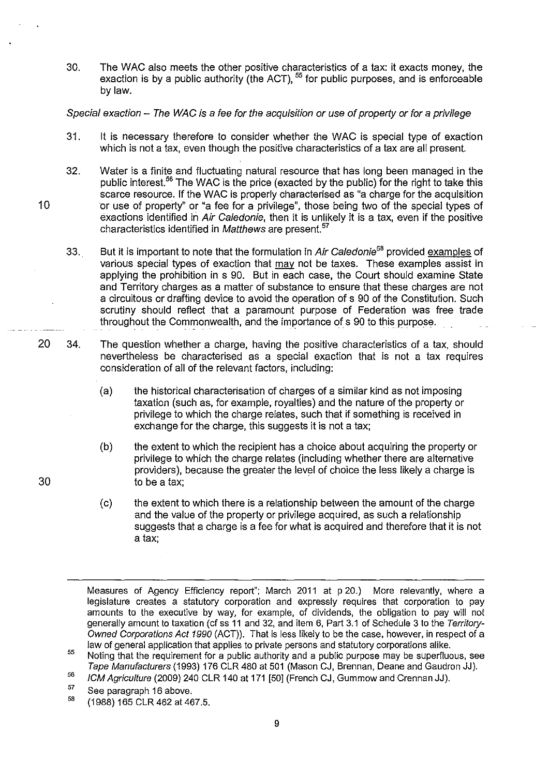30. The WAC also meets the other positive characteristics of a tax: it exacts money, the exaction is by a public authority (the ACT), <sup>55</sup> for public purposes, and is enforceable bylaw.

# Special exaction - The WAC is a fee for the acquisition or use of property or for a privilege

- 31. It is necessary therefore to consider whether the WAC is special type of exaction which is not a tax, even though the positive characteristics of a tax are all present.
- 32. Water is a finite and fluctuating natural resource that has long been managed in the public interest.56 The WAC is the price (exacted by the public) for the right to take this scarce resource. If the WAC is properly characterised as "a charge for the acquisition 'or use of property" or "a fee for a privilege", those being two of the special types of exactions identified in Air Caledonie, then it is unlikely it is a tax, even if the positive characteristics identified in Matthews are present.<sup>57</sup>
- 33. But it is important to note that the formulation in Air Caledonie<sup>58</sup> provided examples of various special types of exaction that may not be taxes. These examples assist in applying the prohibition in s 90. But in each case, the Court should examine State and Territory charges as a matter of substance to ensure that these charges are not a circuitous or drafting device to avoid the operation of s 90 of the Constitution. Such scrutiny should reflect that a paramount purpose of Federation was free trade throughout the Commonwealth, and the importance of s 90 to this purpose.
- 20 34. The question whether a charge, having the positive characteristics of a tax, should nevertheless be characterised as a special exaction that is not a tax requires consideration of all of the relevant factors, including:
	- (a) the historical characterisation of charges of a similar kind as not imposing taxation (such as, for example, royalties) and the nature of the property or privilege to which the charge relates, such that if something is received in exchange for the charge, this suggests it is not a tax;
	- (b) the extent to which the recipient has a choice about acquiring the property or privilege to which the charge relates (including whether there are alternative providers), because the greater the level of choice the less likely a charge is to be a tax;
	- (c) the extent to which there is a relationship between the amount of the charge and the value of the property or privilege acquired, as such a relationship suggests that a charge is a fee for what is acquired and therefore that it is not a tax;

Measures of Agency Efficiency report"; March 2011 at p 20.) More relevantly, where a legislature creates a statutory corporation and expressly requires that corporation to pay amounts to the executive by way, for example, of dividends, the obligation to pay will not generally amount to taxation (cf ss 11 and 32, and item 6, Part 3.1 of Schedule 3 to the Territory-Owned Corporations Act 1990 (ACT)). That is less likely to be the case, however, in respect of a law of general application that applies to private persons and statutory corporations alike.

30

<sup>55</sup>  56 Noting that the requirement for a public authority and a public purpose may be superfluous, see Tape Manufacturers (1993) 176 CLR 480 at 501 (Mason CJ, Brennan, Deane and Gaudron JJ).

ICM Agriculture (2009) 240 CLR 140 at 171 [50] (French CJ, Gummow and Crennan JJ).

<sup>57</sup>  See paragraph 16 above.

<sup>58</sup>  (1988) 165 CLR 462 at 467.5.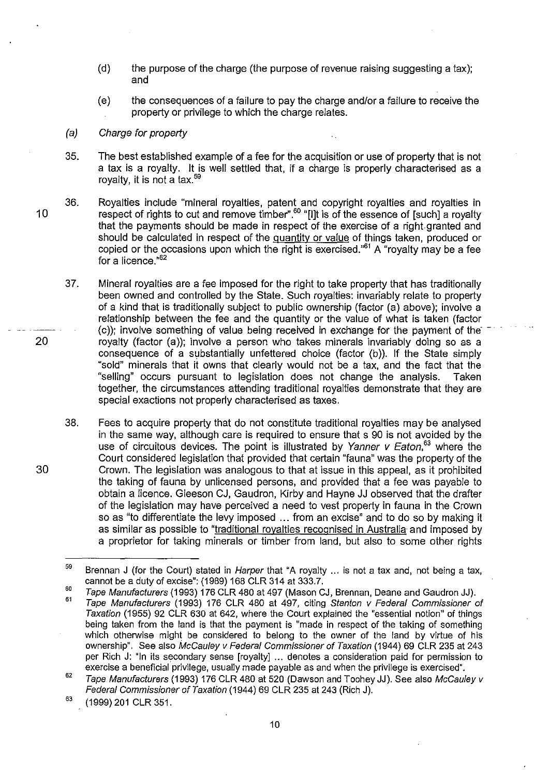- (d) the purpose of the charge (the purpose of revenue raising suggesting a tax); and
- (e) the consequences of a failure to pay the charge and/or a failure to receive the property or privilege to which the charge relates.

#### (a) Charge for property

- 35. The best established example of a fee for the acquisition or use of property that is not a tax is a royalty. It is well settled that, if a charge is properly characterised as a royalty, it is not a tax.<sup>59</sup>
- 10 36. Royalties include "mineral royalties, patent and copyright royalties and royalties in respect of rights to cut and remove timber".<sup>oo</sup> "[I]t is of the essence of [such] a royalty that the payments should be made in respect of the exercise of a right granted and should be calculated in respect of the quantity or value of things taken, produced or copied or the occasions upon which the right is exercised.<sup>,61</sup> A "royalty may be a fee for a licence. $n62$ 
	- 37. Mineral royalties are a fee imposed for the right to take property that has traditionally been owned and controlled by the State. Such royalties: invariably relate to property of a kind that is traditionally subject to public ownership (factor (a) above); involve a relationship between the fee and the quantity or the value of what is taken (factor  $(c)$ ; involve something of value being received in exchange for the payment of the royalty (factor (a)); involve a person who takes minerals invariably doing so as a consequence of a substantially unfettered choice (factor (b)). If the State simply "sold" minerals that it owns that clearly would not be a tax, and the fact that the "selling" occurs pursuant to legislation does not change the analysis. Taken together, the circumstances attending traditional royalties demonstrate that they are special exactions not properly characterised as taxes.
	- 38. Fees to acquire property that do not constitute traditional royalties may be analysed in the same way, although care is required to ensure that s 90 is not avoided by the use of circuitous devices. The point is illustrated by Yanner v Eaton,  $63$  where the Court considered legislation that provided that certain "fauna" was the property of the Crown. The legislation was analogous to that at issue in this appeal, as it prohibited the taking of fauna by unlicensed persons, and provided that a fee was payable to obtain a licence. Gleeson CJ, Gaudron, Kirbyand Hayne JJ observed that the drafter of the legislation may have perceived a need to vest property in fauna in the Crown so as "to differentiate the levy imposed ... from an excise" and to do so by making it as similar as possible to "traditional royalties recognised in Australia and imposed by a proprietor for taking minerals or timber from land, but also to some other rights

<sup>59</sup>  Brennan J (for the Court) stated in *Harper* that "A royalty ... is not a tax and, not being a tax, cannot be a duty of excise": (1989) 168 CLR 314 at 333.7.

<sup>60</sup>  Tape Manufacturers (1993) 176 CLR 480 at 497 (Mason CJ, Brennan, Deane and Gaudron JJ).

<sup>61</sup>  Tape Manufacturers (1993) 176 CLR 480 at 497, citing Stanton v Federal Commissioner of Taxation (1955) 92 CLR 630 at 642, where the Court explained the "essential notion" of things being taken from the land is that the payment is "made in respect of the taking of something which otherwise might be considered to belong to the owner of the land by virtue of his ownership". See also McCauley v Federal Commissioner of Taxation (1944) 69 CLR 235 at 243 per Rich J: "In its secondary sense [royalty] ... denotes a consideration paid for permission to exercise a beneficial privilege, usually made payable as and when the privilege is exercised".

<sup>62</sup>  Tape Manufacturers (1993) 176 CLR 480 at 520 (Dawson and Toohey JJ). See also McCauley v Federal Commissioner of Taxation (1944) 69 CLR 235 at 243 (Rich J).

<sup>63</sup>  (1999) 201 CLR 351.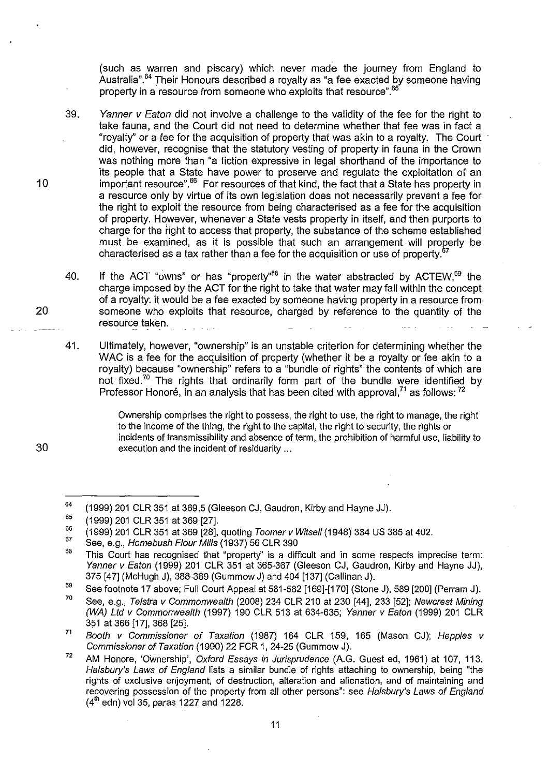(such as warren and piscary) which never made the journey from England to Australia".64 Their Honours described a royalty as "a fee exacted by someone having property in a resource from someone who exploits that resource".<sup>65</sup>

- 39. Yanner v Eaton did not involve a challenge to the validity of the fee for the right to take fauna, and the Court did not need to determine whether that fee was in fact a "royalty" or a fee for the acquisition of property that was akin to a royalty. The Court . did, however, recognise that the statutory vesting of property in fauna in the Crown was nothing more than "a fiction expressive in legal shorthand of the importance to its people that a State have power to preserve and regulate the exploitation of an important resource".66 For resources of that kind, the fact that a State has property in a resource only by virtue of its own legislation does not necessarily prevent a fee for the right to exploit the resource from being characterised as a fee for the acquisition of property. However, whenever a State vests property in itself, and then purports to charge for the tight to access that property, the substance of the scheme established must be examined, as it is possible that such an arrangement will properly be characterised as a tax rather than a fee for the acquisition or use of property. $6$
- 40. If the ACT "owns" or has "property" $68$  in the water abstracted by ACTEW, $69$  the charge imposed by the ACT for the right to take that water may fall within the concept of a royalty: it would be a fee exacted by someone having property in a resource from someone who exploits that resource, charged by reference to the quantity of the resource taken.
- 41. Ultimately, however, "ownership" is an unstable criterion for determining whether the WAC is a fee for the acquisition of property (whether it be a royalty or fee akin to a royalty) because "ownership" refers to a "bundle of rights" the contents of which are not fixed.<sup>70</sup> The rights that ordinarily form part of the bundle were identified by Professor Honoré, in an analysis that has been cited with approval.<sup>71</sup> as follows:  $72$

Ownership comprises the right to possess, the right to use, the right to manage, the right to the income of the thing, the right to the capital, the right to security, the rights or incidents of transmissibility and absence of term, the prohibition of harmful use, liability to execution and the incident of residuarity ...

10

<sup>64</sup>  (1999) 201 CLR 351 at 369.5 (Gleeson CJ, Gaudron, Kirbyand Hayne JJ).

<sup>65</sup>  (1999) 201 CLR 351 at 369 [27].

<sup>66</sup>  67 (1999) 201 CLR 351 at 369 [28], quoting Toomer v Witsell (1948) 334 US 385 at 402.

See, e.g., Homebush Flour Mills (1937) 56 CLR 390

<sup>68</sup>  This Court has recognised that "property" is a difficult and in some respects imprecise term: Yanner v Eaton (1999) 201 CLR 351 at 365-367 (Gleeson CJ, Gaudron, Kirby and Hayne JJ), 375 [47] (McHugh J), 388-389 (Gummow J) and 404 [137] (Callinan J).

<sup>69</sup>  See footnote 17 above; Full Court Appeal at 581-582 [169]-[170] (Stone J), 589 [200] (Perram J).

<sup>70</sup>  See, e.g., Telstra v Commonwealth (2008) 234 CLR 210 at 230 [44], 233 [52]; Newcrest Mining (WA) Ltd v Commonwealth (1997) 190 CLR 513 at 634-635; Yanner v Eaton (1999) 201 CLR 351 at 366 [17], 368 [25].

<sup>7&#</sup>x27; Booth v Commissioner of Taxation (1987) 164 CLR 159, 165 (Mason CJ); Hepples v Commissioner of Taxation (1990) 22 FCR 1, 24-25 (Gummow J).

<sup>72</sup>  AM Honore, 'Ownership', Oxford Essays in Jurisprudence (A.G. Guest ed, 1961) at 107, 113. Halsbury's Laws of England lists a similar bundle of rights attaching to ownership, being "the rights of exclusive enjoyment. of destruction, alteration and alienation, and of maintaining and recovering possession of the property from all other persons": see Halsbury's Laws of England  $(4<sup>th</sup>$  edn) vol 35, paras 1227 and 1228.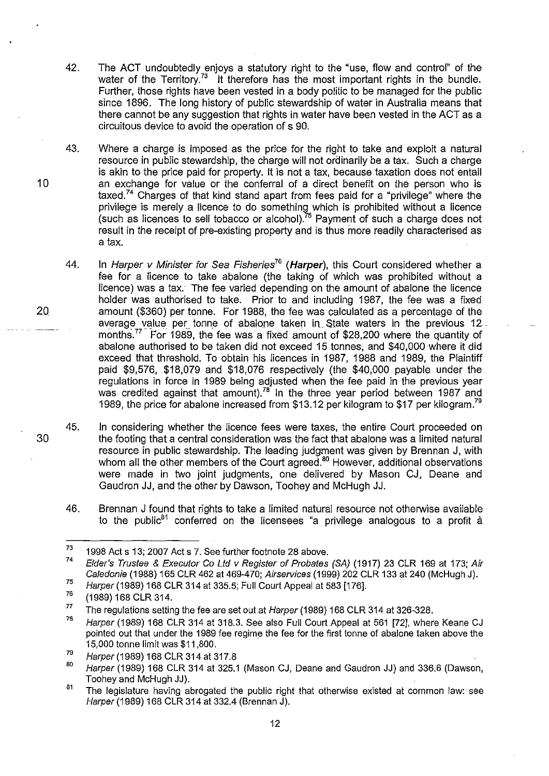- 42. The ACT undoubtedly enjoys a statutory right to the "use, flow and control" of the water of the Territory.<sup>73</sup> It therefore has the most important rights in the bundle. Further, those rights have been vested in a body politic to be managed for the public since 1896. The long history of public stewardship of water in Australia means that there cannot be any suggestion that rights in water have been vested in the ACT as a circuitous device to avoid the operation of s 90.
- 43. Where a charge is imposed as the price for the right to take and exploit a natural resource in public stewardship, the charge will not ordinarily be a tax. Such a charge is akin to the price paid for property. It is not a tax, because taxation does not entail an exchange for value or the conferral of a direct benefit on the person who is taxed.<sup>74</sup> Charges of that kind stand apart from fees paid for a "privilege" where the privilege is merely a licence to do something which is prohibited without a licence (such as licences to sell tobacco or alcohol).'<sup>5</sup> Payment of such a charge does not result in the receipt of pre-existing property and is thus more readily characterised as a tax.
- 44. In Harper v Minister for Sea Fisheries<sup>76</sup> (Harper), this Court considered whether a fee for a licence to take abalone (the taking of which was prohibited without a licence) was a tax. The fee varied depending on the amount of abalone the licence holder was authorised to take. Prior to and including 1987, the fee was a fixed amount (\$360) per tonne. For 1988, the fee was calculated as a percentage of the average value per tonne of abalone taken in State waters in the previous 12\_ months.<sup>77</sup> For 1989, the fee was a fixed amount of \$28,200 where the quantity of abalone authorised to be taken did not exceed 15 tonnes, and \$40,000 where it did exceed that threshold. To obtain his licences in 1987, 1988 and 1989, the Plaintiff paid \$9,576, \$18,079 and \$18,076 respectively (the \$40,000 payable under the regulations in force in 1989 being adjusted when the fee paid in the previous year was credited against that amount).<sup>78</sup> In the three year period between 1987 and 1989, the price for abalone increased from \$13.12 per kilogram to \$17 per kilogram.<sup>79</sup>
- 45. In considering whether the licence fees were taxes, the entire Court proceeded on the footing that a central consideration was the fact that abalone was a limited natural resource in public stewardship. The leading judgment was given by Brennan J, with whom all the other members of the Court agreed.<sup>80</sup> However, additional observations were made in two joint judgments, one delivered by Mason CJ, Deane and Gaudron JJ, and the other by Dawson, Toohey and McHugh JJ.
- 46. Brennan J found that rights to take a limited natural resource not otherwise available to the public<sup>81</sup> conferred on the licensees "a privilege analogous to a profit  $\dot{a}$

20

10

<sup>73</sup>  1998 Act s 13; 2007 Act s 7. See further footnote 28 above.

<sup>74</sup>  75 Elder's Trustee & Executor Co Lld v Register of Probates (SA) (1917) 23 CLR 169 at 173; Air Caledonie (1988) 165 CLR 462 at 469-470; Airservices (1999) 202 CLR 133 at 240 (McHugh J).

Harper (1989) 168 CLR 314 at 335.5; Full Court Appeal at 583 [176].

<sup>76</sup>  (1989) 168 CLR 314.

<sup>77</sup>  The regulations setting the fee are set out at Harper (1989) 168 CLR 314 at 326-328.

<sup>78</sup>  Harper (1989) 168 CLR 314 at 318.3. See also Full Court Appeal at 561 [72], where Keane CJ pointed out that under the 1989 fee regime the fee for the first tonne of abalone taken above the 15,000 tonne limit was \$11 ,800.

<sup>79</sup>  Harper (1989) 168 CLR 314 at 317.8

<sup>80</sup>  Harper (1989) 168 CLR 314 at 325.1 (Mason CJ, Deane and Gaudron JJ) and 336.6 (Dawson, Toohey and McHugh JJ).

<sup>81</sup>  The legislature having abrogated the public right that otherwise existed at common law: see Harper (1989) 168 CLR 314 at 332.4 (Brennan J).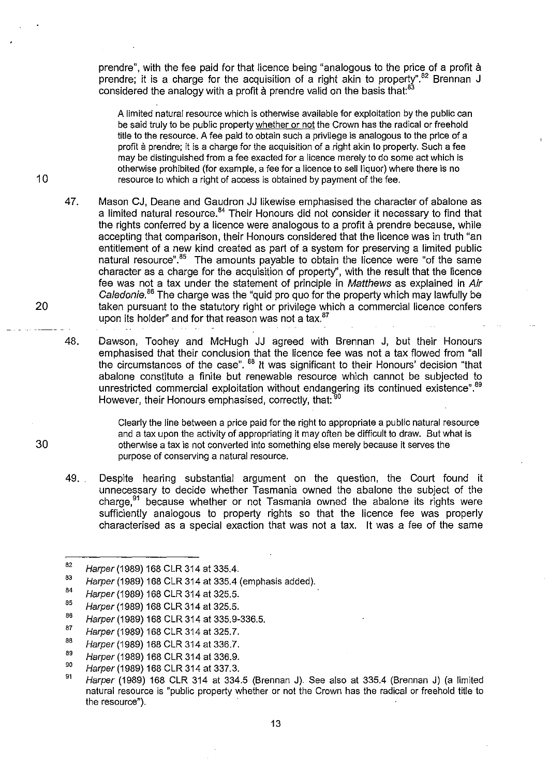prendre", with the fee paid for that licence being "analogous to the price of a profit à prendre; it is a charge for the acquisition of a right akin to property".<sup>82</sup> Brennan  $J$ considered the analogy with a profit a prendre valid on the basis that: $^{83}$ 

A limited natural resource which is otherwise available for exploitation by the public can be said truly to be public property whether or not the Crown has the radical or freehold title to the resource. A fee paid to obtain such a privilege is analogous to the price of a profit à prendre; it is a charge for the acquisition of a right akin to property. Such a fee may be distinguished from a fee exacted for a licence merely to do some act which is otherwise prohibited (for example, a fee for a licence to sell liquor) where there is no resource to which a right of access is obtained by payment of the fee.

47. Mason CJ, Deane and Gaudron JJ likewise emphasised the character of abalone as a limited natural resource.84 Their Honours did not consider it necessary to find that the rights conferred by a licence were analogous to a profit a prendre because, while accepting that comparison, their Honours considered that the licence was in truth "an entitlement of a new kind created as part of a system for preserving a limited public natural resource".<sup>85</sup> The amounts payable to obtain the licence were "of the same" character as a charge for the acquisition of property", with the result that the licence fee was not a tax under the statement of principle in Matthews as explained in Air Caledonie.<sup>86</sup> The charge was the "quid pro quo for the property which may lawfully be taken pursuant to the statutory right or privilege which a commercial licence confers upon its holder" and for that reason was not a tax.<sup>87</sup>

48. Dawson, Toohey and McHugh JJ agreed with Brennan J, but their Honours emphasised that their conclusion that the licence fee was not a tax flowed from "all the circumstances of the case". <sup>88</sup> It was significant to their Honours' decision "that abalone constitute a finite but renewable resource which cannot be subjected to unrestricted commercial exploitation without endangering its continued existence".<sup>89</sup> However, their Honours emphasised, correctly, that:<sup>90</sup>

> Clearly the line between a price paid for the right to appropriate a public natural resource and a tax upon the activity of appropriating it may often be difficult to draw. But what is otherwise a tax is not converted into something else merely because it serves the purpose of conserving a natural resource.

49. Despite hearing substantial argument on the question, the Court found it unnecessary to decide whether Tasmania owned the abalone the subject of the charge, $91$  because whether or not Tasmania owned the abalone its rights were sufficiently analogous to property rights so that the licence fee was properly characterised as a special exaction that was not a tax. It was a fee of the same

20

10

<sup>82</sup>  Harper (1989) 168 CLR 314 at 335.4.

<sup>83</sup>  Harper (1989) 168 CLR 314 at 335.4 (emphasis added).

<sup>84</sup>  Harper (1989) 168 CLR 314 at 325.5.

<sup>85</sup>  Harper (1989) 168 CLR 314 at 325.5.

<sup>86</sup>  Harper (1989) 168 CLR 314 at 335.9-336.5.

<sup>87</sup>  Harper (1989) 168 CLR 314 at 325.7.

<sup>88</sup>  Harper (1989) 168 CLR 314 at 336.7.

<sup>89</sup>  Harper (1989) 168 CLR 314 at 336.9.

<sup>90</sup>  Harper (1989) 168 CLR 314 at 337.3.

<sup>91</sup>  Harper (1989) 168 CLR 314 at 334.5 (Brennan J). See also at 335.4 (Brennan J) (a limited natural resource is "public property whether or not the Crown has the radical or freehold title to the resource").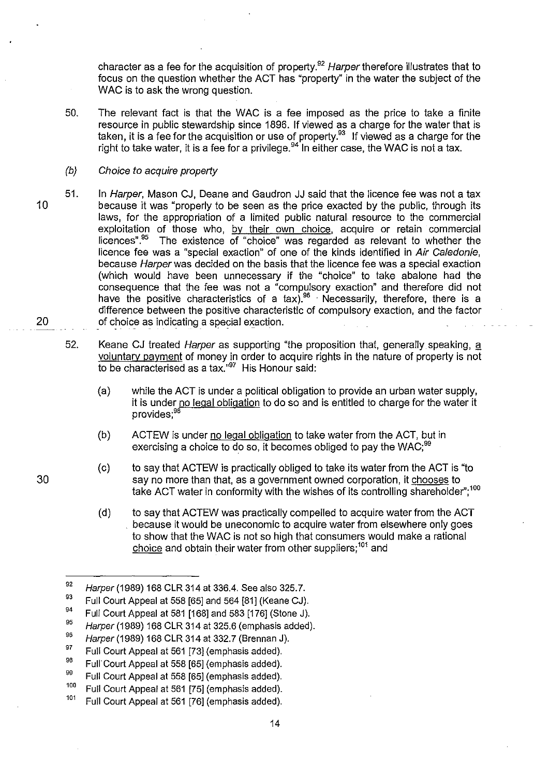character as a fee for the acquisition of property.<sup>92</sup> Harper therefore illustrates that to focus on the question whether the ACT has "property" in the water the subject of the WAC is to ask the wrong question.

50. The relevant fact is that the WAC is a fee imposed as the price to take a finite resource in public stewardship since 1896. If viewed as a charge for the water that is taken, it is a fee for the acquisition or use of property.93 If viewed as a charge for the right to take water, it is a fee for a privilege.<sup>94</sup> In either case, the WAC is not a tax.

#### $(b)$ Choice to acquire property

- 10 20 51. In Harper, Mason CJ, Deane and Gaudron JJ said that the licence fee was not a tax because it was "properly to be seen as the price exacted by the public, through its laws, for the appropriation of a limited public natural resource to the commercial exploitation of those who, by their own choice, acquire or retain commercial licences".<sup>95</sup> The existence of "choice" was regarded as relevant to whether the licence fee was a "special exaction" of one of the kinds identified in Air Caledonie, because Harper was decided on the basis that the licence fee was a special exaction (which would have been unnecessary if the "choice" to take abalone had the consequence that the fee was not a "compulsory exaction" and therefore did not have the positive characteristics of a tax).96 . Necessarily, therefore, there is a difference between the positive characteristic of compulsory exaction, and the factor of choice as indicating a special exaction.
	- 52. Keane CJ treated *Harper* as supporting "the proposition that, generally speaking, a voluntarv payment of money in order to acquire rights in the nature of property is not to be characterised as a tax."<sup>97</sup> His Honour said:
		- (a) while the ACT is under a political obligation to provide an urban water supply, it is under no legal obligation to do so and is entitled to charge for the water it provides;<sup>98</sup>
		- (b) ACTEW is under no legal obligation to take water from the ACT, but in exercising a choice to do so, it becomes obliged to pay the WAC;<sup>99</sup>
		- (c) to say that ACTEW is practically obliged to take its water from the ACT is "to say no more than that, as a government owned corporation, it chooses to take ACT water in conformity with the wishes of its controlling shareholder";<sup>100</sup>
		- (d) to say that ACTEW was practically compelled to acquire water from the ACT . because it would be uneconomic to acquire water from elsewhere only goes to show that the WAC is not so high that consumers would make a rational choice and obtain their water from other suppliers;<sup>101</sup> and

<sup>92</sup>  Harper (1989) 168 CLR 314 at 336.4. See also 325.7.

<sup>93</sup>  Full Court Appeal at 558 [65] and 564 [81] (Keane CJ).

<sup>94</sup>  Full Court Appeal at 581 [168] and 583 [176] (Stone J).

<sup>95</sup>  Harper (1989) 168 CLR 314 at 325.6 (emphasis added).

<sup>96</sup>  Harper (1989) 168 CLR 314 at 332.7 (Brennan J).

<sup>97</sup>  Full Court Appeal at 561 [73] (emphasis added).

<sup>98</sup>  Full Court Appeal at 558 [65] (emphasis added).

<sup>99</sup>  Full Court Appeal at 558 [65] (emphasis added).

<sup>&</sup>lt;sup>100</sup> Full Court Appeal at 561 [75] (emphasis added).

<sup>&</sup>lt;sup>101</sup> Full Court Appeal at 561 [76] (emphasis added).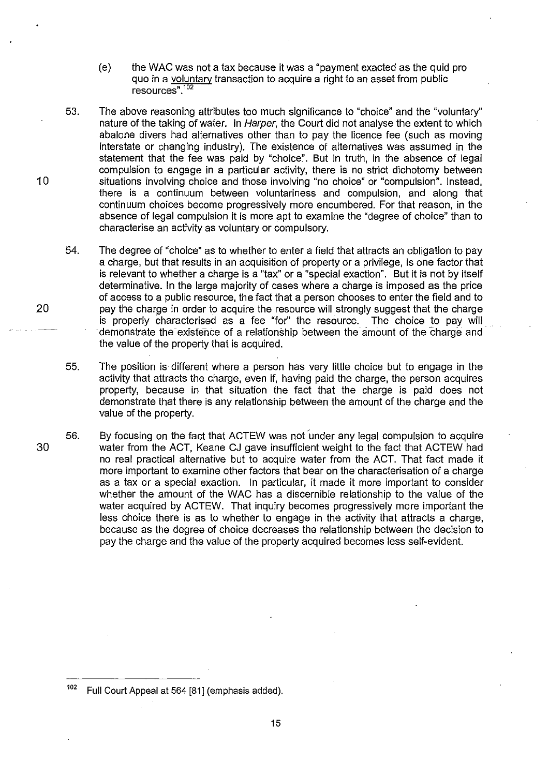- (e) the WAC was not a tax because it was a "payment exacted as the quid pro quo in a voluntary transaction to acquire a right to an asset from public  $resources''  $10$$
- 53. The above reasoning attributes too much significance to "choice" and the "voluntary" nature of the taking of water. In Harper, the Court did not analyse the extent to which abalone divers had alternatives other than to pay the licence fee (such as moving interstate or changing industry). The existence of alternatives was assurned in the statement that the fee was paid by "choice". But in truth, in the absence of legal compulsion to engage in a particular activity, there is no strict dichotomy between 10 situations involving choice and those involving "no choice" or "compulsion". Instead, there is a continuum between voluntariness and compulsion, and along that continuum choices become progressively more encumbered. For that reason, in the absence of legal compulsion it is more apt to examine the "degree of choice" than to characterise an activity as voluntary or compulsory.
- 54. The degree of "choice" as to whether to enter a field that attracts an obligation to pay a charge, but that results in an acquisition of property or a privilege, is one factor that is relevant to whether a charge is a "tax" or a "special exaction". But it is not by itself determinative. In the large majority of cases where a charge is imposed as the price of access to a public resource, the fact that a person chooses to enter the field and to 20 pay the charge in order to acquire the resource will strongly suggest that the charge is properly characterised as a fee "for" the resource. The choice to pay will demonstrate the existence of a relationship between the amount of the charge and the value of the property that is acquired.
	- 55. The position is different where a person has very little choice but to engage in the activity that attracts the charge, even if, having paid the charge, the person acquires property, because in that situation the fact that the charge is paid does not demonstrate that there is any relationship between the amount of the charge and the value of the property.
- 30 56. By focusing on the fact that ACTEW was not 'under any legal compulsion to acquire water from the ACT, Keane CJ gave insufficient weight to the fact that ACTEW had no real practical alternative but to acquire water from the ACT. That fact made it more important to examine other factors that bear on the characterisation of a charge as a tax or a special exaction. In particular, it made it more important to consider whether the amount of the WAC has a discernible relationship to the value of the water acquired by ACTEW. That inquiry becomes progressively more important the less choice there is as to whether to engage in the activity that attracts a charge, because as the degree of choice decreases the relationship between the decision to pay the charge and the value of the property acquired becomes less self-evident.

<sup>102</sup> Full Court Appeal at 564 [81] (emphasis added).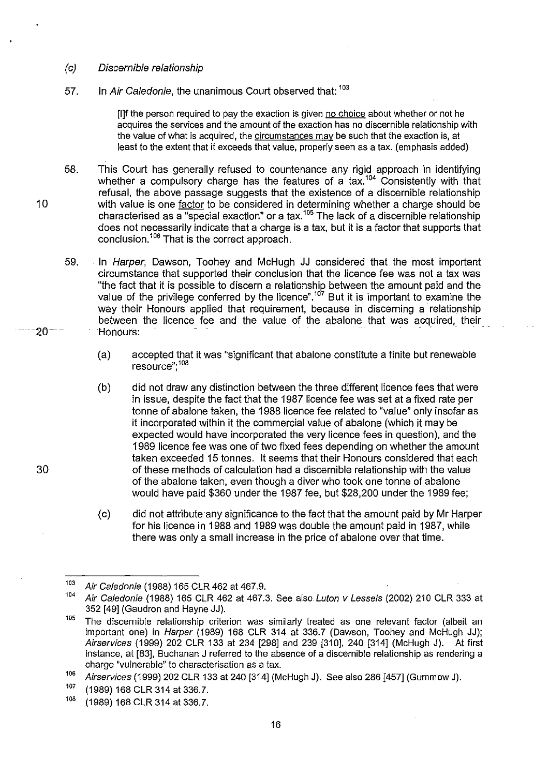#### (c) Discernible relationship

10

 $-20 -$ 

30

# 57. In Air Caledonie, the unanimous Court observed that: 103

[I]f the person required to pay the exaction is given no choice about whether or not he acquires the services and the amount of the exaction has no discernible relationship with the value of what is acquired, the circumstances may be such that the exaction is, at least to the extent that it exceeds that value, properly seen as a tax. (emphasis added)

58. This Court has generally refused to countenance any rigid approach in identifying whether a compulsory charge has the features of a tax.<sup>104</sup> Consistently with that refusal, the above passage suggests that the existence of a discernible relationship with value is one <u>factor</u> to be considered in determining whether a charge should be characterised as a "special exaction" or a tax.<sup>105</sup> The lack of a discernible relationship does not necessarily indicate that a charge is a tax, but it is a factor that supports that conclusion.<sup>106</sup> That is the correct approach.

59. In Harper, Dawson, Toohey and McHugh JJ considered that the most important circumstance that supported their conclusion that the licence fee was not a tax was "the fact that it is possible to discern a relationship between the amount paid and the value of the privilege conferred by the licence".<sup>107</sup> But it is important to examine the way their Honours applied that requirement, because in discerning a relationship between the licence fee and the value of the abalone that was acquired, their Honours:

(a) accepted that it was "significant that abalone constitute a finite but renewable resource", 108

- (b) did not draw any distinction between the three different licence fees that were in issue, despite the fact that the 1987 licence fee was set at a fixed rate per tonne of abalone taken, the 1988 licence fee related to "value" only insofar as it incorporated within it the commercial value of abalone (which it may be expected would have incorporated the very licence fees in question), and the 1989 licence fee was one of two fixed fees depending on whether the amount taken exceeded 15 tonnes. It seems that their Honours considered that each of these methods of calculation had a discernible relationship with the value of the abalone taken, even though a diver who took one tonne of abalone would have paid \$360 under the 1987 fee, but \$28,200 under the 1989 fee;
- (c) did not attribute any significance to the fact that the amount paid by Mr Harper for his licence in 1988 and 1989 was double the amount paid in 1987, while there was only a small increase in the price of abalone over that time.

*<sup>103</sup>*Air Caledonie (1988) 165 CLR 462 at 467.9.

*<sup>104</sup>*Air Caledonie (1988) 165 CLR 462 at 467.3. See also Luton v Lessels (2002) 210 CLR 333 at 352 [49] (Gaudron and Hayne JJ).

<sup>&</sup>lt;sup>105</sup> The discernible relationship criterion was similarly treated as one relevant factor (albeit an important one) in Harper (1989) 168 CLR 314 at 336.7 (Dawson, Toohey and McHugh JJ); Airservices (1999) 202 CLR 133 at 234 [298] and 239 [310], 240 [314] (McHugh J). At first instance, at [83], Buchanan J referred to the absence of a discernible relationship as rendering a charge "vulnerable" to characterisation as a tax.

<sup>106</sup> Airservices (1999) 202 CLR 133 at 240 [314] (McHugh J). See also 286 [457] (Gummow J).<br><sup>107</sup> (1080) 168 CLB 314 at 336 7

 $^{107}$  (1989) 168 CLR 314 at 336.7.<br> $^{108}$  (1080) 168 CLB 314 at 336.7.

<sup>10</sup>B (1989) 168 CLR 314 at 336.7.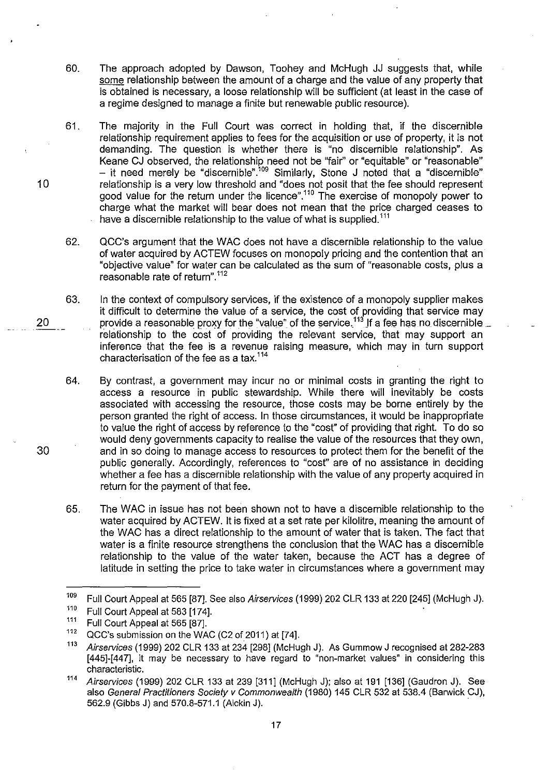- 60. The approach adopted by Dawson, Toohey and McHugh JJ suggests that, while some relationship between the amount of a charge and the value of any property that is obtained is necessary, a loose relationship will be sufficient (at least in the case of a regime designed to manage a finite but renewable public resource).
- 61. The majority in the Full Court was correct in holding that, if the discernible relationship requirement applies to fees for the acquisition or use of property, it is not demanding. The question is whether there is "no discernible relationship". As Keane CJ observed, the relationship need not be "fair" or "equitable" or "reasonable" – it need merely be "discernible".'<sup>09</sup> Similarly, Stone J noted that a "discernible" relationship is a very low threshold and "does not posit that the fee should represent good value for the return under the licence".''<sup>o</sup> The exercise of monopoly power to charge what the market will bear does not mean that the price charged ceases to have a discernible relationship to the value of what is supplied.<sup>111</sup>
- 62. QCC's argument that the WAC does not have a discernible relationship to the value of water acquired by ACTEW focuses on monopoly pricing and the contention that an "objective value" for water can be calculated as the sum of "reasonable costs, plus a reasonable rate of return".112
- 63. In the context of compulsory services, if the existence of a monopoly supplier makes it difficult to determine the value of a service, the cost of providing that service may provide a reasonable proxy for the "value" of the service.<sup>113</sup> If a fee has no discernible  $\_$ relationship to the cost of providing the relevant service, that may support an inference that the fee is a revenue raising measure, which may in turn support characterisation of the fee as a tax. <sup>114</sup>

64. By contrast, a government *may* incur no or minimal costs in granting the right to access a resource in public stewardship. While there will inevitably be costs associated with accessing the resource, those costs *may* be borne entirely by the person granted the right of access. In those circumstances, it would be inappropriate to value the right of access by reference to the "cost" of providing that right. To do so would deny governments capacity to realise the value of the resources that they own, and in so doing to manage access to resources to protect them for the benefit of the public generally. Accordingly, references to "cost" are of no assistance in deciding whether a fee has a discernible relationship with the value of any property acquired in return for the payment of that fee.

65. The WAC in issue has not been shown not to have a discernible relationship to the water acquired by ACTEW. It is fixed at a set rate per kilolitre, meaning the amount of the WAC has a direct relationship to the arnount of water that is taken. The fact that water is a finite resource strengthens the conclusion that the WAC has a discernible relationship to the value of the water taken, because the ACT has a degree of latitude in setting the price to take water in circumstances where a government may

10

20

<sup>&</sup>lt;sup>109</sup> Full Court Appeal at 565 [87]. See also *Airservices* (1999) 202 CLR 133 at 220 [245] (McHugh J).<br><sup>110</sup> Full Court Appeal at 583 [174]

 $^{110}$  Full Court Appeal at 583 [174].<br> $^{111}$  Full Court Appeal of 565 [87]

<sup>&</sup>lt;sup>111</sup> Full Court Appeal at 565 [87].

QCC's submission on the WAC (C2 of 2011) at [74].

<sup>&</sup>lt;sup>113</sup> Airservices (1999) 202 CLR 133 at 234 [298] (McHugh J). As Gummow J recognised at 282-283 [445]-[447], it may be necessary to have regard to "non-market values" in considering this characteristic.

<sup>114</sup> Airservices (1999) 202 CLR 133 at 239 [311] (McHugh J); also at 191 [136] (Gaudron J). See also General Practitioners Society v Commonwealth (1980) 145 CLR 532 at 538.4 (Barwick CJ), 562.9 (Gibbs J) and 570.8-571.1 (Aickin J). .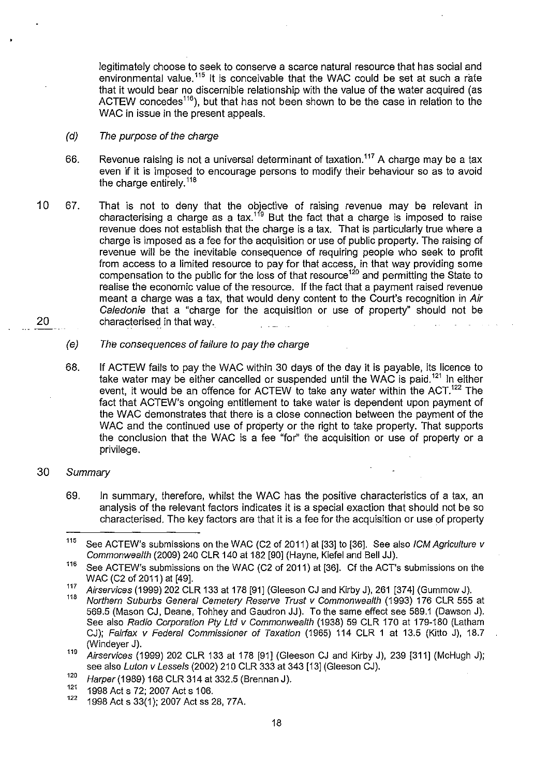legitimately choose to seek to conserve a scarce natural resource that has social and environmental value.<sup> $115$ </sup> It is conceivable that the WAC could be set at such a rate that it would bear no discernible relationship with the value of the water acquired (as ACTEW concedes<sup>116</sup>), but that has not been shown to be the case in relation to the WAC in issue in the present appeals.

- (d) The purpose of the charge
- 66. Revenue raising is not a universal determinant of taxation.<sup>117</sup> A charge may be a tax even if it is imposed to encourage persons to modify their behaviour so as to avoid the charge entirely.<sup>118</sup>
- 10 67. That is not to deny that the objective of raising revenue may be relevant in characterising a charge as a tax.<sup>119</sup> But the fact that a charge is imposed to raise revenue does not establish that the charge is a tax. That is particularly true where a charge is imposed as a fee for the acquisition or use of public property. The raising of revenue will be the inevitable consequence of requiring people who seek to profit from access to a limited resource to pay for that access, in that way providing some compensation to the public for the loss of that resource<sup>120</sup> and permitting the State to realise the economic value of the resource. If the fact that a payment raised revenue meant a charge was a tax, that would deny content to the Court's recognition in Air Caledonie that a "charge for the acquisition or use of property" should not be 20 characterised in that way.
	- (e) The consequences of failure to pay the charge
	- 68. If ACTEW fails to pay the WAC within 30 days of the day it is payable, its licence to take water may be either cancelled or suspended until the WAC is paid.<sup>121</sup> In either event, it would be an offence for ACTEW to take any water within the ACT.<sup>122</sup> The fact that ACTEW's ongoing entitlement to take water is dependent upon payment of the WAC demonstrates that there is a close connection between the payment of the WAC and the continued use of property or the right to take property. That supports the conclusion that the WAC is a fee "for" the acquisition or use of property or a privilege.
- 30 Summary
	- 69. In summary, therefore, whilst the WAC has the positive characteristics of a tax, an analysis of the relevant factors indicates it is a special exaction that should not be so characterised. The key factors are that it is a fee for the acquisition or use of property

<sup>&</sup>lt;sup>115</sup> See ACTEW's submissions on the WAC (C2 of 2011) at [33] to [36]. See also ICM Agriculture v Commonwealth (2009) 240 CLR 140 at 182 [90] (Hayne, Kiefel and Bell JJ).

<sup>&</sup>lt;sup>116</sup> See ACTEW's submissions on the WAC (C2 of 2011) at [36]. Cf the ACT's submissions on the WAC (C2 of 2011) at [49J.

<sup>117</sup> Airservices (1999) 202 CLR 133 at 178 [91] (Gleeson CJ and Kirby J), 261 [374] (Gummow J).

Northern Suburbs General Cemetery Reserve Trust v Commonwealth (1993) 176 CLR 555 at 569.5 (Mason CJ, Deane, Tohhey and Gaudron JJ). To the same effect see 589.1 (Dawson J). See also Radio Corporation Pty Ltd v Commonwealth (1938) 59 CLR 170 at 179-180 (Latham CJ); Fairfax v Federal Commissioner of Taxation (1965) 114 CLR 1 at 13.5 (Kitlo J), 18.7 (Windeyer J).

 $119$  Airservices (1999) 202 CLR 133 at 178 [91] (Gleeson CJ and Kirby J), 239 [311] (McHugh J); see also Luton v Lessels (2002) 210 CLR 333 at 343 [13] (Gleeson CJ).

 $^{120}$  Harper (1989) 168 CLR 314 at 332.5 (Brennan J).

<sup>&</sup>lt;sup>121</sup> 1998 Act s 72; 2007 Act s 106.

<sup>1998</sup> Act s 33(1); 2007 Act ss 28, 77A.